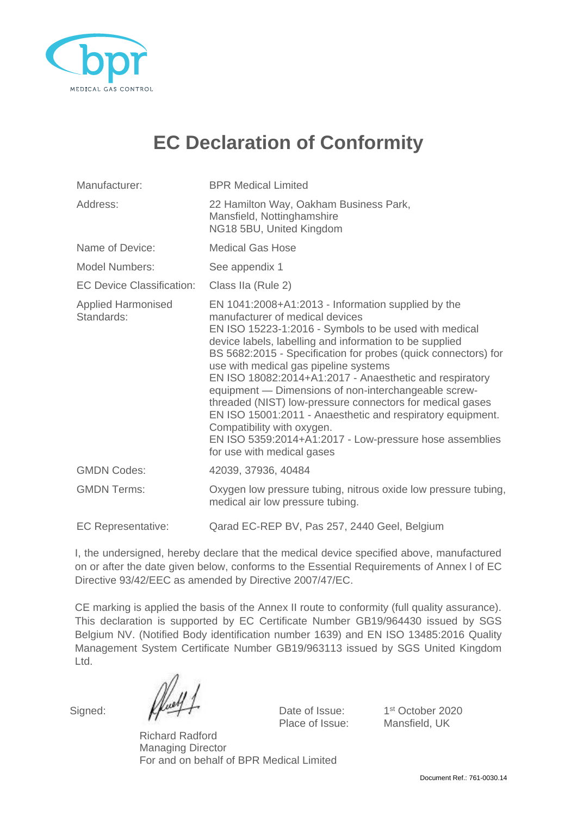

## **EC Declaration of Conformity**

| Manufacturer:                           | <b>BPR Medical Limited</b>                                                                                                                                                                                                                                                                                                                                                                                                                                                                                                                                                                                                                                                                |  |
|-----------------------------------------|-------------------------------------------------------------------------------------------------------------------------------------------------------------------------------------------------------------------------------------------------------------------------------------------------------------------------------------------------------------------------------------------------------------------------------------------------------------------------------------------------------------------------------------------------------------------------------------------------------------------------------------------------------------------------------------------|--|
| Address:                                | 22 Hamilton Way, Oakham Business Park,<br>Mansfield, Nottinghamshire<br>NG18 5BU, United Kingdom                                                                                                                                                                                                                                                                                                                                                                                                                                                                                                                                                                                          |  |
| Name of Device:                         | <b>Medical Gas Hose</b>                                                                                                                                                                                                                                                                                                                                                                                                                                                                                                                                                                                                                                                                   |  |
| <b>Model Numbers:</b>                   | See appendix 1                                                                                                                                                                                                                                                                                                                                                                                                                                                                                                                                                                                                                                                                            |  |
| <b>EC Device Classification:</b>        | Class IIa (Rule 2)                                                                                                                                                                                                                                                                                                                                                                                                                                                                                                                                                                                                                                                                        |  |
| <b>Applied Harmonised</b><br>Standards: | EN 1041:2008+A1:2013 - Information supplied by the<br>manufacturer of medical devices<br>EN ISO 15223-1:2016 - Symbols to be used with medical<br>device labels, labelling and information to be supplied<br>BS 5682:2015 - Specification for probes (quick connectors) for<br>use with medical gas pipeline systems<br>EN ISO 18082:2014+A1:2017 - Anaesthetic and respiratory<br>equipment - Dimensions of non-interchangeable screw-<br>threaded (NIST) low-pressure connectors for medical gases<br>EN ISO 15001:2011 - Anaesthetic and respiratory equipment.<br>Compatibility with oxygen.<br>EN ISO 5359:2014+A1:2017 - Low-pressure hose assemblies<br>for use with medical gases |  |
| <b>GMDN Codes:</b>                      | 42039, 37936, 40484                                                                                                                                                                                                                                                                                                                                                                                                                                                                                                                                                                                                                                                                       |  |
| <b>GMDN Terms:</b>                      | Oxygen low pressure tubing, nitrous oxide low pressure tubing,<br>medical air low pressure tubing.                                                                                                                                                                                                                                                                                                                                                                                                                                                                                                                                                                                        |  |
| <b>EC Representative:</b>               | Qarad EC-REP BV, Pas 257, 2440 Geel, Belgium                                                                                                                                                                                                                                                                                                                                                                                                                                                                                                                                                                                                                                              |  |

I, the undersigned, hereby declare that the medical device specified above, manufactured on or after the date given below, conforms to the Essential Requirements of Annex l of EC Directive 93/42/EEC as amended by Directive 2007/47/EC.

CE marking is applied the basis of the Annex II route to conformity (full quality assurance). This declaration is supported by EC Certificate Number GB19/964430 issued by SGS Belgium NV. (Notified Body identification number 1639) and EN ISO 13485:2016 Quality Management System Certificate Number GB19/963113 issued by SGS United Kingdom Ltd.

Signed:  $\mathbb{Z}$   $\rightarrow$  Date of Issue:

1st October 2020 Place of Issue: Mansfield, UK

Richard Radford Managing Director For and on behalf of BPR Medical Limited